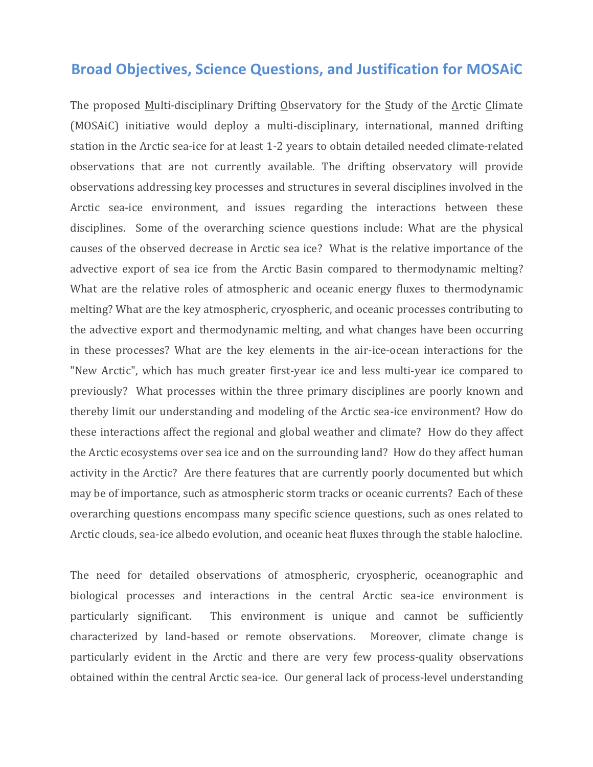## **Broad Objectives, Science Questions, and Justification for MOSAIC**

The proposed Multi-disciplinary Drifting Observatory for the Study of the Arctic Climate (MOSAiC) initiative would deploy a multi-disciplinary, international, manned drifting station in the Arctic sea-ice for at least 1-2 years to obtain detailed needed climate-related observations that are not currently available. The drifting observatory will provide observations addressing key processes and structures in several disciplines involved in the Arctic sea-ice environment, and issues regarding the interactions between these disciplines. Some of the overarching science questions include: What are the physical causes of the observed decrease in Arctic sea ice? What is the relative importance of the advective export of sea ice from the Arctic Basin compared to thermodynamic melting? What are the relative roles of atmospheric and oceanic energy fluxes to thermodynamic melting? What are the key atmospheric, cryospheric, and oceanic processes contributing to the advective export and thermodynamic melting, and what changes have been occurring in these processes? What are the key elements in the air-ice-ocean interactions for the "New Arctic", which has much greater first-year ice and less multi-year ice compared to previously? What processes within the three primary disciplines are poorly known and thereby limit our understanding and modeling of the Arctic sea-ice environment? How do these interactions affect the regional and global weather and climate? How do they affect the Arctic ecosystems over sea ice and on the surrounding land? How do they affect human activity in the Arctic? Are there features that are currently poorly documented but which may be of importance, such as atmospheric storm tracks or oceanic currents? Each of these overarching questions encompass many specific science questions, such as ones related to Arctic clouds, sea-ice albedo evolution, and oceanic heat fluxes through the stable halocline.

The need for detailed observations of atmospheric, cryospheric, oceanographic and biological processes and interactions in the central Arctic sea-ice environment is particularly significant. This environment is unique and cannot be sufficiently characterized by land-based or remote observations. Moreover, climate change is particularly evident in the Arctic and there are very few process-quality observations obtained within the central Arctic sea-ice. Our general lack of process-level understanding